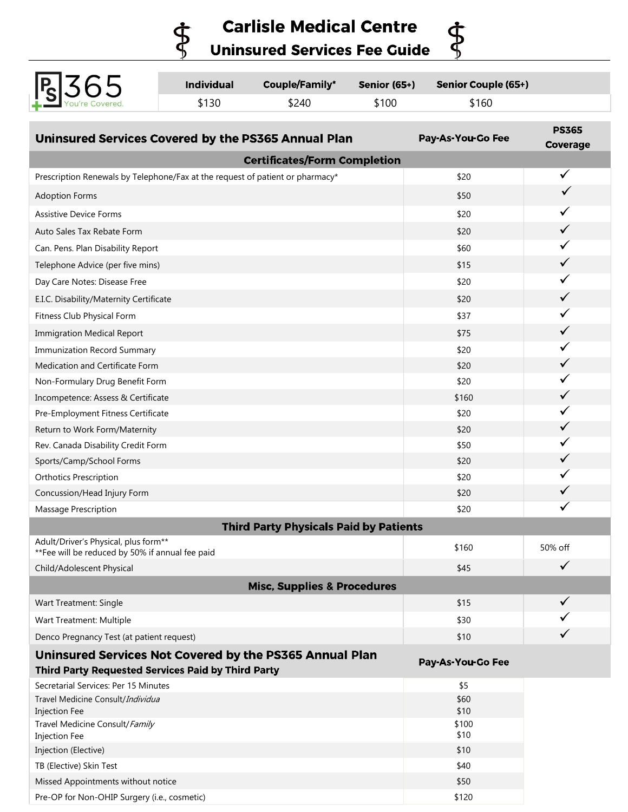**Carlisle Medical Centre Uninsured Services Fee Guide** 

\$

 $\dot{\Phi}$ 

| Ps 365 | <b>Individual</b> | <b>Couple/Family*</b> | Senior (65+) | Senior Couple (65+) |  |
|--------|-------------------|-----------------------|--------------|---------------------|--|
|        | \$130             | \$240                 | \$100        | \$160               |  |

| Uninsured Services Covered by the PS365 Annual Plan                                     | Pay-As-You-Go Fee | <b>PS365</b><br>Coverage |  |  |  |  |
|-----------------------------------------------------------------------------------------|-------------------|--------------------------|--|--|--|--|
| <b>Certificates/Form Completion</b>                                                     |                   |                          |  |  |  |  |
| Prescription Renewals by Telephone/Fax at the request of patient or pharmacy*           | \$20              | $\checkmark$             |  |  |  |  |
| <b>Adoption Forms</b>                                                                   | \$50              |                          |  |  |  |  |
| <b>Assistive Device Forms</b>                                                           | \$20              | ✓                        |  |  |  |  |
| Auto Sales Tax Rebate Form                                                              | \$20              | ✓                        |  |  |  |  |
| Can. Pens. Plan Disability Report                                                       | \$60              | ✓                        |  |  |  |  |
| Telephone Advice (per five mins)                                                        | \$15              |                          |  |  |  |  |
| Day Care Notes: Disease Free                                                            | \$20              | ✓                        |  |  |  |  |
| E.I.C. Disability/Maternity Certificate                                                 | \$20              | ✓                        |  |  |  |  |
| Fitness Club Physical Form                                                              | \$37              |                          |  |  |  |  |
| <b>Immigration Medical Report</b>                                                       | \$75              | ✓                        |  |  |  |  |
| <b>Immunization Record Summary</b>                                                      | \$20              | ✓                        |  |  |  |  |
| Medication and Certificate Form                                                         | \$20              | ✓                        |  |  |  |  |
| Non-Formulary Drug Benefit Form                                                         | \$20              |                          |  |  |  |  |
| Incompetence: Assess & Certificate                                                      | \$160             | ✓                        |  |  |  |  |
| Pre-Employment Fitness Certificate                                                      | \$20              |                          |  |  |  |  |
| Return to Work Form/Maternity                                                           | \$20              |                          |  |  |  |  |
| Rev. Canada Disability Credit Form                                                      | \$50              | ✓                        |  |  |  |  |
| Sports/Camp/School Forms                                                                | \$20              |                          |  |  |  |  |
| <b>Orthotics Prescription</b>                                                           | \$20              |                          |  |  |  |  |
| Concussion/Head Injury Form                                                             | \$20              | ✓                        |  |  |  |  |
| Massage Prescription                                                                    | \$20              |                          |  |  |  |  |
| <b>Third Party Physicals Paid by Patients</b>                                           |                   |                          |  |  |  |  |
| Adult/Driver's Physical, plus form**<br>**Fee will be reduced by 50% if annual fee paid | \$160             | 50% off                  |  |  |  |  |
| Child/Adolescent Physical                                                               | \$45              | ✓                        |  |  |  |  |
| <b>Misc, Supplies &amp; Procedures</b>                                                  |                   |                          |  |  |  |  |
| Wart Treatment: Single                                                                  | \$15              | $\checkmark$             |  |  |  |  |
| Wart Treatment: Multiple                                                                | \$30              |                          |  |  |  |  |
| Denco Pregnancy Test (at patient request)                                               | \$10              |                          |  |  |  |  |
| Uninsured Services Not Covered by the PS365 Annual Plan<br>Pay-As-You-Go Fee            |                   |                          |  |  |  |  |
| Third Party Requested Services Paid by Third Party                                      |                   |                          |  |  |  |  |
| Secretarial Services: Per 15 Minutes                                                    | \$5               |                          |  |  |  |  |
| Travel Medicine Consult/Individua<br><b>Injection Fee</b>                               | \$60<br>\$10      |                          |  |  |  |  |
| Travel Medicine Consult/Family<br>Injection Fee                                         | \$100<br>\$10     |                          |  |  |  |  |
| Injection (Elective)                                                                    | \$10              |                          |  |  |  |  |
| TB (Elective) Skin Test                                                                 | \$40              |                          |  |  |  |  |
| Missed Appointments without notice                                                      | \$50              |                          |  |  |  |  |
| Pre-OP for Non-OHIP Surgery (i.e., cosmetic)                                            | \$120             |                          |  |  |  |  |